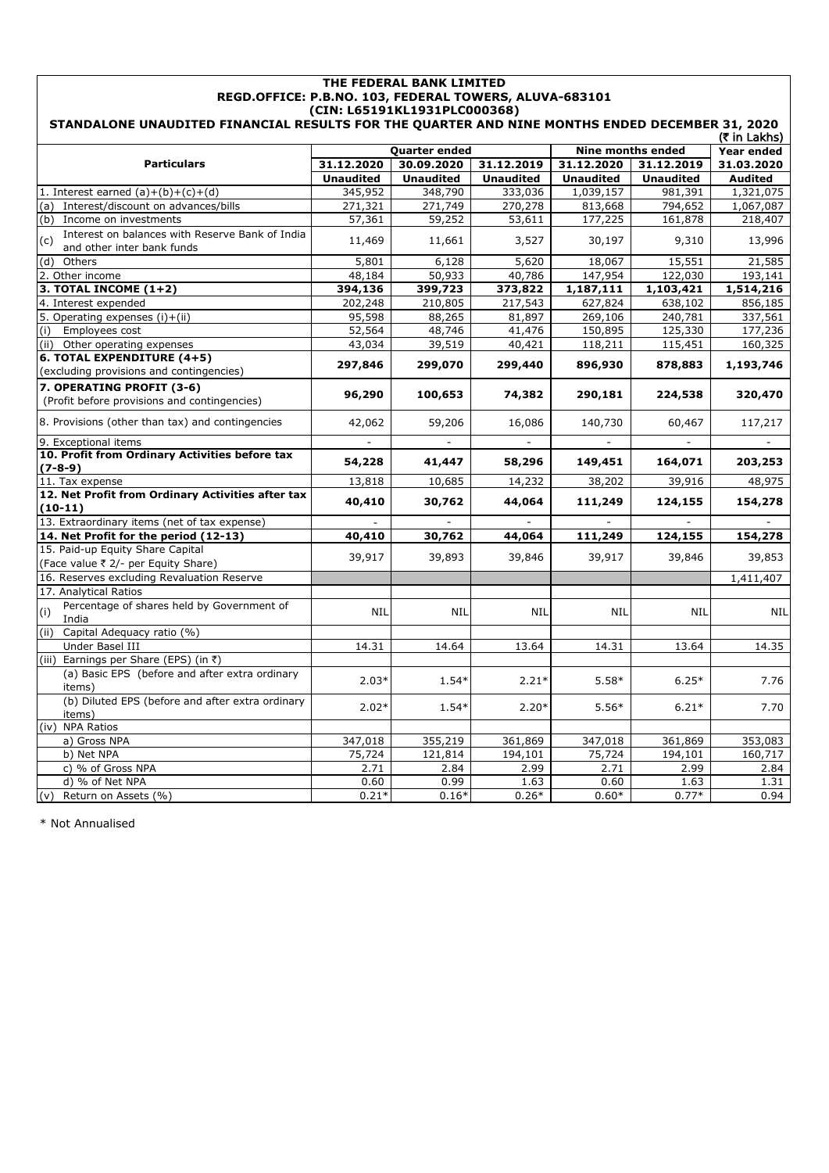| THE FEDERAL BANK LIMITED<br>REGD.OFFICE: P.B.NO. 103, FEDERAL TOWERS, ALUVA-683101<br>(CIN: L65191KL1931PLC000368) |                                        |                  |                  |                  |                          |                |  |  |
|--------------------------------------------------------------------------------------------------------------------|----------------------------------------|------------------|------------------|------------------|--------------------------|----------------|--|--|
| STANDALONE UNAUDITED FINANCIAL RESULTS FOR THE QUARTER AND NINE MONTHS ENDED DECEMBER 31, 2020<br>(₹ in Lakhs)     |                                        |                  |                  |                  |                          |                |  |  |
|                                                                                                                    |                                        | Quarter ended    |                  |                  | <b>Nine months ended</b> | Year ended     |  |  |
| <b>Particulars</b>                                                                                                 | 31.12.2020<br>30.09.2020<br>31.12.2019 |                  |                  | 31.12.2020       | 31.12.2019               | 31.03.2020     |  |  |
|                                                                                                                    | <b>Unaudited</b>                       | <b>Unaudited</b> | <b>Unaudited</b> | <b>Unaudited</b> | <b>Unaudited</b>         | <b>Audited</b> |  |  |
| 1. Interest earned $(a)+(b)+(c)+(d)$                                                                               | 345,952                                | 348,790          | 333,036          | 1,039,157        | 981,391                  | 1,321,075      |  |  |
| (a) Interest/discount on advances/bills                                                                            | 271,321                                | 271,749          | 270,278          | 813,668          | 794,652                  | 1,067,087      |  |  |
| (b) Income on investments                                                                                          | 57,361                                 | 59,252           | 53,611           | 177,225          | 161,878                  | 218,407        |  |  |
| Interest on balances with Reserve Bank of India<br>(c)<br>and other inter bank funds                               | 11,469                                 | 11,661           | 3,527            | 30,197           | 9,310                    | 13,996         |  |  |
| Others<br>(d)                                                                                                      | 5,801                                  | 6,128            | 5,620            | 18,067           | 15,551                   | 21,585         |  |  |
| 2. Other income                                                                                                    | 48,184                                 | 50,933           | 40,786           | 147,954          | 122,030                  | 193,141        |  |  |
| 3. TOTAL INCOME $(1+2)$                                                                                            | 394,136                                | 399,723          | 373,822          | 1,187,111        | 1,103,421                | 1,514,216      |  |  |
| 4. Interest expended                                                                                               | 202,248                                | 210,805          | 217,543          | 627,824          | 638,102                  | 856,185        |  |  |
| 5. Operating expenses (i)+(ii)                                                                                     | 95,598                                 | 88,265           | 81,897           | 269,106          | 240,781                  | 337,561        |  |  |
| Employees cost<br>(i)                                                                                              | 52,564                                 | 48,746           | 41,476           | 150,895          | 125,330                  | 177,236        |  |  |
| (ii) Other operating expenses                                                                                      | 43,034                                 | 39,519           | 40,421           | 118,211          | 115,451                  | 160,325        |  |  |
| 6. TOTAL EXPENDITURE (4+5)<br>(excluding provisions and contingencies)                                             | 297,846                                | 299,070          | 299,440          | 896,930          | 878,883                  | 1,193,746      |  |  |
| 7. OPERATING PROFIT (3-6)<br>(Profit before provisions and contingencies)                                          | 96,290                                 | 100,653          | 74,382           | 290,181          | 224,538                  | 320,470        |  |  |
| 8. Provisions (other than tax) and contingencies                                                                   | 42,062                                 | 59,206           | 16,086           | 140,730          | 60,467                   | 117,217        |  |  |
| 9. Exceptional items                                                                                               |                                        |                  |                  |                  |                          |                |  |  |
| 10. Profit from Ordinary Activities before tax<br>$(7-8-9)$                                                        | 54,228                                 | 41,447           | 58,296           | 149,451          | 164,071                  | 203,253        |  |  |
| 11. Tax expense                                                                                                    | 13,818                                 | 10,685           | 14,232           | 38,202           | 39,916                   | 48,975         |  |  |
| 12. Net Profit from Ordinary Activities after tax<br>$(10-11)$                                                     | 40,410                                 | 30,762           | 44,064           | 111,249          | 124,155                  | 154,278        |  |  |
| 13. Extraordinary items (net of tax expense)                                                                       |                                        | $\blacksquare$   |                  |                  |                          |                |  |  |
| 14. Net Profit for the period (12-13)                                                                              | 40,410                                 | 30,762           | 44,064           | 111,249          | 124,155                  | 154,278        |  |  |
| 15. Paid-up Equity Share Capital<br>(Face value ₹ 2/- per Equity Share)                                            | 39,917                                 | 39,893           | 39,846           | 39,917           | 39,846                   | 39,853         |  |  |
| 16. Reserves excluding Revaluation Reserve                                                                         |                                        |                  |                  |                  |                          | 1,411,407      |  |  |
| 17. Analytical Ratios                                                                                              |                                        |                  |                  |                  |                          |                |  |  |
| Percentage of shares held by Government of<br>(i)<br>India                                                         | <b>NIL</b>                             | <b>NIL</b>       | <b>NIL</b>       | <b>NIL</b>       | <b>NIL</b>               | <b>NIL</b>     |  |  |
| Capital Adequacy ratio (%)<br>(ii)                                                                                 |                                        |                  |                  |                  |                          |                |  |  |
| Under Basel III                                                                                                    | 14.31                                  | 14.64            | 13.64            | 14.31            | 13.64                    | 14.35          |  |  |
| Earnings per Share (EPS) (in ₹)<br>(iii)                                                                           |                                        |                  |                  |                  |                          |                |  |  |
| (a) Basic EPS (before and after extra ordinary<br>items)                                                           | $2.03*$                                | $1.54*$          | $2.21*$          | $5.58*$          | $6.25*$                  | 7.76           |  |  |
| (b) Diluted EPS (before and after extra ordinary<br>items)                                                         | $2.02*$                                | $1.54*$          | $2.20*$          | $5.56*$          | $6.21*$                  | 7.70           |  |  |
| (iv)<br><b>NPA Ratios</b>                                                                                          |                                        |                  |                  |                  |                          |                |  |  |
| a) Gross NPA                                                                                                       | 347,018                                | 355,219          | 361,869          | 347,018          | 361,869                  | 353,083        |  |  |
| b) Net NPA                                                                                                         | 75,724                                 | 121,814          | 194,101          | 75,724           | 194,101                  | 160,717        |  |  |
| c) % of Gross NPA                                                                                                  | 2.71                                   | 2.84             | 2.99             | 2.71             | 2.99                     | 2.84           |  |  |
| d) % of Net NPA                                                                                                    | 0.60                                   | 0.99             | 1.63             | 0.60             | 1.63                     | 1.31           |  |  |
| (v) Return on Assets (%)                                                                                           | $0.21*$                                | $0.16*$          | $0.26*$          | $0.60*$          | $0.77*$                  | 0.94           |  |  |

\* Not Annualised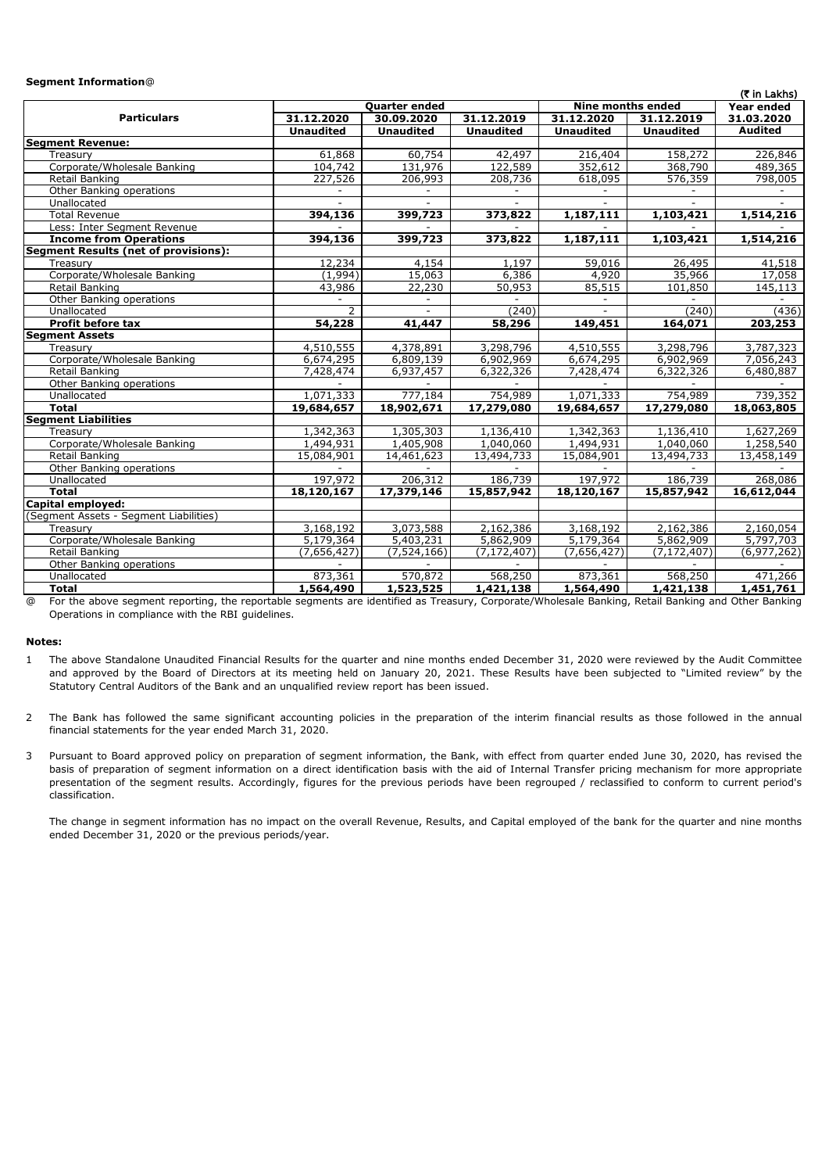## **Segment Information**@

| (₹ in Lakhs)                                |                  |                  |                  |                   |                         |                |  |
|---------------------------------------------|------------------|------------------|------------------|-------------------|-------------------------|----------------|--|
|                                             |                  | Quarter ended    |                  | Nine months ended | Year ended              |                |  |
| <b>Particulars</b>                          | 31.12.2020       | 30.09.2020       | 31.12.2019       | 31.12.2020        | 31.12.2019              | 31.03.2020     |  |
|                                             | <b>Unaudited</b> | <b>Unaudited</b> | <b>Unaudited</b> | <b>Unaudited</b>  | <b>Unaudited</b>        | <b>Audited</b> |  |
| <b>Segment Revenue:</b>                     |                  |                  |                  |                   |                         |                |  |
| Treasury                                    | 61,868           | 60,754           | 42,497           | 216,404           | 158,272                 | 226,846        |  |
| Corporate/Wholesale Banking                 | 104,742          | 131,976          | 122,589          | 352,612           | 368,790                 | 489,365        |  |
| Retail Banking                              | 227,526          | 206,993          | 208,736          | 618,095           | 576,359                 | 798,005        |  |
| Other Banking operations                    |                  |                  |                  |                   |                         |                |  |
| Unallocated                                 |                  |                  | $\sim$           |                   |                         |                |  |
| <b>Total Revenue</b>                        | 394,136          | 399,723          | 373,822          | 1,187,111         | 1,103,421               | 1,514,216      |  |
| Less: Inter Segment Revenue                 |                  |                  |                  |                   |                         |                |  |
| <b>Income from Operations</b>               | 394,136          | 399,723          | 373,822          | 1,187,111         | 1,103,421               | 1,514,216      |  |
| <b>Segment Results (net of provisions):</b> |                  |                  |                  |                   |                         |                |  |
| Treasury                                    | 12,234           | 4,154            | 1,197            | 59,016            | 26,495                  | 41,518         |  |
| Corporate/Wholesale Banking                 | (1,994)          | 15,063           | 6,386            | 4,920             | 35,966                  | 17,058         |  |
| Retail Banking                              | 43,986           | 22,230           | 50,953           | 85,515            | 101,850                 | 145,113        |  |
| Other Banking operations                    |                  |                  |                  |                   |                         |                |  |
| Unallocated                                 | $\overline{z}$   |                  | (240)            |                   | (240)                   | (436)          |  |
| <b>Profit before tax</b>                    | 54,228           | 41,447           | 58,296           | 149,451           | 164,071                 | 203,253        |  |
| <b>Segment Assets</b>                       |                  |                  |                  |                   |                         |                |  |
| Treasury                                    | 4,510,555        | 4,378,891        | 3,298,796        | 4,510,555         | 3,298,796               | 3,787,323      |  |
| Corporate/Wholesale Banking                 | 6,674,295        | 6,809,139        | 6,902,969        | 6,674,295         | 6,902,969               | 7,056,243      |  |
| Retail Banking                              | 7,428,474        | 6,937,457        | 6,322,326        | 7,428,474         | 6,322,326               | 6,480,887      |  |
| Other Banking operations                    |                  |                  |                  |                   |                         |                |  |
| Unallocated                                 | 1,071,333        | 777,184          | 754,989          | 1,071,333         | 754,989                 | 739,352        |  |
| <b>Total</b>                                | 19,684,657       | 18,902,671       | 17,279,080       | 19,684,657        | 17,279,080              | 18,063,805     |  |
| <b>Segment Liabilities</b>                  |                  |                  |                  |                   |                         |                |  |
| Treasury                                    | 1,342,363        | 1,305,303        | 1,136,410        | 1,342,363         | 1,136,410               | 1,627,269      |  |
| Corporate/Wholesale Banking                 | 1,494,931        | 1,405,908        | 1,040,060        | 1,494,931         | 1,040,060               | 1,258,540      |  |
| Retail Banking                              | 15,084,901       | 14,461,623       | 13,494,733       | 15,084,901        | 13,494,733              | 13,458,149     |  |
| Other Banking operations                    |                  |                  |                  |                   |                         |                |  |
| Unallocated                                 | 197,972          | 206,312          | 186,739          | 197,972           | 186,739                 | 268,086        |  |
| <b>Total</b>                                | 18,120,167       | 17,379,146       | 15,857,942       | 18,120,167        | $\overline{15,857,942}$ | 16,612,044     |  |
| Capital employed:                           |                  |                  |                  |                   |                         |                |  |
| (Segment Assets - Segment Liabilities)      |                  |                  |                  |                   |                         |                |  |
| Treasury                                    | 3,168,192        | 3,073,588        | 2,162,386        | 3,168,192         | 2,162,386               | 2,160,054      |  |
| Corporate/Wholesale Banking                 | 5,179,364        | 5,403,231        | 5,862,909        | 5,179,364         | 5,862,909               | 5,797,703      |  |
| Retail Banking                              | (7,656,427)      | (7, 524, 166)    | (7, 172, 407)    | (7,656,427)       | (7, 172, 407)           | (6, 977, 262)  |  |
| Other Banking operations                    |                  |                  |                  |                   |                         |                |  |
| Unallocated                                 | 873,361          | 570,872          | 568,250          | 873,361           | 568,250                 | 471,266        |  |
| <b>Total</b>                                | 1,564,490        | 1,523,525        | 1,421,138        | 1,564,490         | 1,421,138               | 1,451,761      |  |

@ For the above segment reporting, the reportable segments are identified as Treasury, Corporate/Wholesale Banking, Retail Banking and Other Banking Operations in compliance with the RBI guidelines.

## **Notes:**

- 1 The above Standalone Unaudited Financial Results for the quarter and nine months ended December 31, 2020 were reviewed by the Audit Committee and approved by the Board of Directors at its meeting held on January 20, 2021. These Results have been subjected to "Limited review" by the Statutory Central Auditors of the Bank and an unqualified review report has been issued.
- $\overline{2}$ The Bank has followed the same significant accounting policies in the preparation of the interim financial results as those followed in the annual financial statements for the year ended March 31, 2020.
- 3 Pursuant to Board approved policy on preparation of segment information, the Bank, with effect from quarter ended June 30, 2020, has revised the basis of preparation of segment information on a direct identification basis with the aid of Internal Transfer pricing mechanism for more appropriate presentation of the segment results. Accordingly, figures for the previous periods have been regrouped / reclassified to conform to current period's classification.

The change in segment information has no impact on the overall Revenue, Results, and Capital employed of the bank for the quarter and nine months ended December 31, 2020 or the previous periods/year.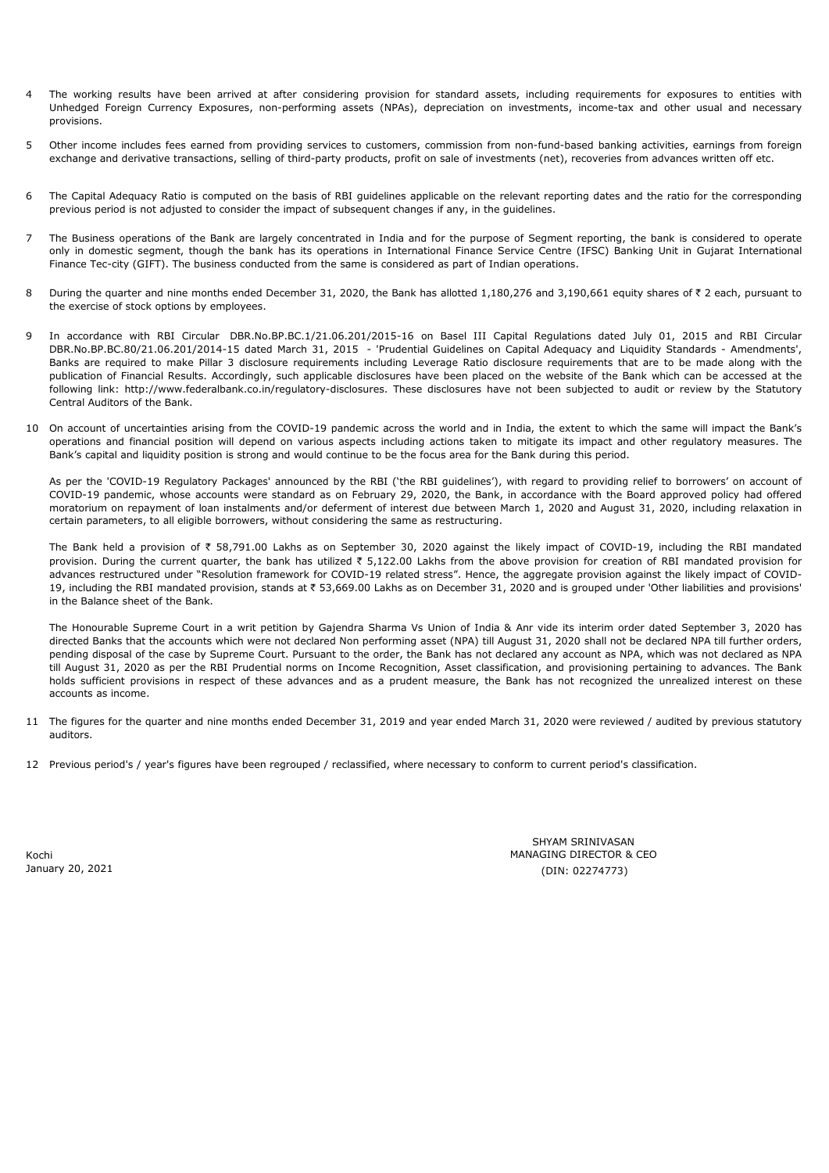- 4 The working results have been arrived at after considering provision for standard assets, including requirements for exposures to entities with Unhedged Foreign Currency Exposures, non-performing assets (NPAs), depreciation on investments, income-tax and other usual and necessary provisions.
- 5 Other income includes fees earned from providing services to customers, commission from non-fund-based banking activities, earnings from foreign exchange and derivative transactions, selling of third-party products, profit on sale of investments (net), recoveries from advances written off etc.
- 6 The Capital Adequacy Ratio is computed on the basis of RBI guidelines applicable on the relevant reporting dates and the ratio for the corresponding previous period is not adjusted to consider the impact of subsequent changes if any, in the guidelines.
- 7 The Business operations of the Bank are largely concentrated in India and for the purpose of Segment reporting, the bank is considered to operate only in domestic segment, though the bank has its operations in International Finance Service Centre (IFSC) Banking Unit in Gujarat International Finance Tec-city (GIFT). The business conducted from the same is considered as part of Indian operations.
- 8 During the quarter and nine months ended December 31, 2020, the Bank has allotted 1,180,276 and 3,190,661 equity shares of  $\bar{\tau}$  2 each, pursuant to the exercise of stock options by employees.
- 9 In accordance with RBI Circular DBR.No.BP.BC.1/21.06.201/2015-16 on Basel III Capital Regulations dated July 01, 2015 and RBI Circular DBR.No.BP.BC.80/21.06.201/2014-15 dated March 31, 2015 - 'Prudential Guidelines on Capital Adequacy and Liquidity Standards - Amendments', Banks are required to make Pillar 3 disclosure requirements including Leverage Ratio disclosure requirements that are to be made along with the publication of Financial Results. Accordingly, such applicable disclosures have been placed on the website of the Bank which can be accessed at the following link: http://www.federalbank.co.in/regulatory-disclosures. These disclosures have not been subjected to audit or review by the Statutory Central Auditors of the Bank.
- 10 On account of uncertainties arising from the COVID-19 pandemic across the world and in India, the extent to which the same will impact the Bank's operations and financial position will depend on various aspects including actions taken to mitigate its impact and other regulatory measures. The Bank's capital and liquidity position is strong and would continue to be the focus area for the Bank during this period.

As per the 'COVID-19 Regulatory Packages' announced by the RBI ('the RBI guidelines'), with regard to providing relief to borrowers' on account of COVID-19 pandemic, whose accounts were standard as on February 29, 2020, the Bank, in accordance with the Board approved policy had offered moratorium on repayment of loan instalments and/or deferment of interest due between March 1, 2020 and August 31, 2020, including relaxation in certain parameters, to all eligible borrowers, without considering the same as restructuring.

The Bank held a provision of  $\bar{\tau}$  58,791.00 Lakhs as on September 30, 2020 against the likely impact of COVID-19, including the RBI mandated provision. During the current quarter, the bank has utilized ₹ 5,122.00 Lakhs from the above provision for creation of RBI mandated provision for advances restructured under "Resolution framework for COVID-19 related stress". Hence, the aggregate provision against the likely impact of COVID-19, including the RBI mandated provision, stands at ₹ 53,669.00 Lakhs as on December 31, 2020 and is grouped under 'Other liabilities and provisions' in the Balance sheet of the Bank.

The Honourable Supreme Court in a writ petition by Gajendra Sharma Vs Union of India & Anr vide its interim order dated September 3, 2020 has directed Banks that the accounts which were not declared Non performing asset (NPA) till August 31, 2020 shall not be declared NPA till further orders, pending disposal of the case by Supreme Court. Pursuant to the order, the Bank has not declared any account as NPA, which was not declared as NPA till August 31, 2020 as per the RBI Prudential norms on Income Recognition, Asset classification, and provisioning pertaining to advances. The Bank holds sufficient provisions in respect of these advances and as a prudent measure, the Bank has not recognized the unrealized interest on these accounts as income.

- 11 The figures for the quarter and nine months ended December 31, 2019 and year ended March 31, 2020 were reviewed / audited by previous statutory auditors.
- 12 Previous period's / year's figures have been regrouped / reclassified, where necessary to conform to current period's classification.

Kochi January 20, 2021 MANAGING DIRECTOR & CEO (DIN: 02274773) SHYAM SRINIVASAN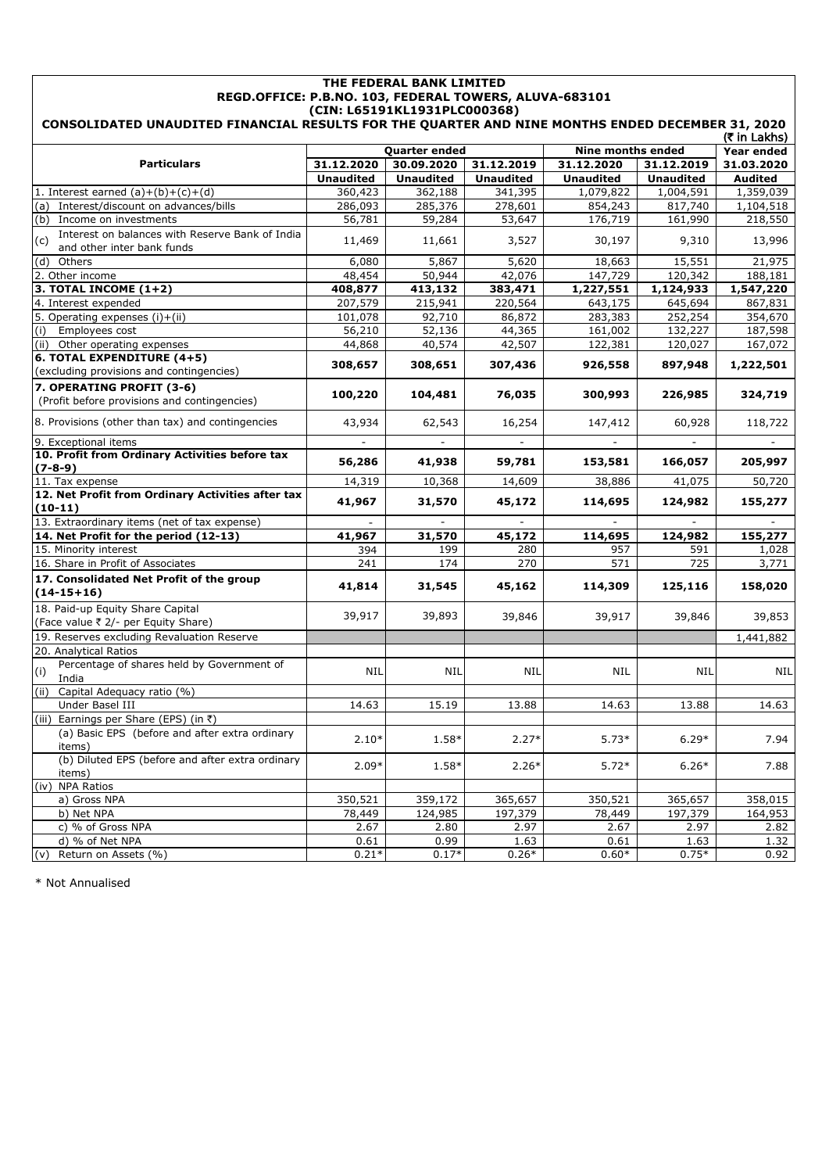| THE FEDERAL BANK LIMITED<br>REGD.OFFICE: P.B.NO. 103, FEDERAL TOWERS, ALUVA-683101<br>(CIN: L65191KL1931PLC000368) |                  |                      |                  |                  |                   |                |  |  |
|--------------------------------------------------------------------------------------------------------------------|------------------|----------------------|------------------|------------------|-------------------|----------------|--|--|
| CONSOLIDATED UNAUDITED FINANCIAL RESULTS FOR THE QUARTER AND NINE MONTHS ENDED DECEMBER 31, 2020<br>(₹ in Lakhs)   |                  |                      |                  |                  |                   |                |  |  |
|                                                                                                                    |                  | <b>Quarter ended</b> |                  |                  | Nine months ended | Year ended     |  |  |
| <b>Particulars</b>                                                                                                 | 31.12.2020       | 30.09.2020           | 31.12.2019       | 31.12.2020       | 31.12.2019        | 31.03.2020     |  |  |
|                                                                                                                    | <b>Unaudited</b> | <b>Unaudited</b>     | <b>Unaudited</b> | <b>Unaudited</b> | <b>Unaudited</b>  | <b>Audited</b> |  |  |
| 1. Interest earned $(a)+(b)+(c)+(d)$                                                                               | 360,423          | 362,188              | 341,395          | 1,079,822        | 1,004,591         | 1,359,039      |  |  |
| (a) Interest/discount on advances/bills                                                                            | 286,093          | 285,376              | 278,601          | 854,243          | 817,740           | 1,104,518      |  |  |
| (b) Income on investments                                                                                          | 56,781           | 59,284               | 53,647           | 176,719          | 161,990           | 218,550        |  |  |
| Interest on balances with Reserve Bank of India<br>(c)<br>and other inter bank funds                               | 11,469           | 11,661               | 3,527            | 30,197           | 9,310             | 13,996         |  |  |
| (d) Others                                                                                                         | 6,080            | 5,867                | 5,620            | 18,663           | 15,551            | 21,975         |  |  |
| 2. Other income                                                                                                    | 48,454           | 50,944               | 42,076           | 147,729          | 120,342           | 188,181        |  |  |
| 3. TOTAL INCOME $(1+2)$                                                                                            | 408,877          | 413,132              | 383,471          | 1,227,551        | 1,124,933         | 1,547,220      |  |  |
| 4. Interest expended                                                                                               | 207,579          | 215,941              | 220,564          | 643,175          | 645,694           | 867,831        |  |  |
| 5. Operating expenses (i)+(ii)                                                                                     | 101,078          | 92,710               | 86,872           | 283,383          | 252,254           | 354,670        |  |  |
| Employees cost<br>(i)                                                                                              | 56,210           | 52,136               | 44,365           | 161,002          | 132,227           | 187,598        |  |  |
| (ii) Other operating expenses                                                                                      | 44,868           | 40,574               | 42,507           | 122,381          | 120,027           | 167,072        |  |  |
| 6. TOTAL EXPENDITURE (4+5)<br>(excluding provisions and contingencies)                                             | 308,657          | 308,651              | 307,436          | 926,558          | 897,948           | 1,222,501      |  |  |
| 7. OPERATING PROFIT (3-6)                                                                                          |                  |                      |                  |                  |                   |                |  |  |
| (Profit before provisions and contingencies)                                                                       | 100,220          | 104,481              | 76,035           | 300,993          | 226,985           | 324,719        |  |  |
| 8. Provisions (other than tax) and contingencies                                                                   | 43,934           | 62,543               | 16,254           | 147,412          | 60,928            | 118,722        |  |  |
| 9. Exceptional items<br>10. Profit from Ordinary Activities before tax                                             |                  |                      |                  |                  | $\blacksquare$    |                |  |  |
| $(7-8-9)$                                                                                                          | 56,286           | 41,938               | 59,781           | 153,581          | 166,057           | 205,997        |  |  |
| 11. Tax expense                                                                                                    | 14,319           | 10,368               | 14,609           | 38,886           | 41,075            | 50,720         |  |  |
| 12. Net Profit from Ordinary Activities after tax                                                                  | 41,967           | 31,570               | 45,172           | 114,695          | 124,982           | 155,277        |  |  |
| $(10-11)$<br>13. Extraordinary items (net of tax expense)                                                          |                  |                      |                  |                  |                   |                |  |  |
| 14. Net Profit for the period (12-13)                                                                              | 41,967           | 31,570               | 45,172           | 114,695          | 124,982           | 155,277        |  |  |
| 15. Minority interest                                                                                              | 394              | 199                  | 280              | 957              | 591               | 1,028          |  |  |
| 16. Share in Profit of Associates                                                                                  | 241              | 174                  | 270              | 571              | 725               | 3,771          |  |  |
| 17. Consolidated Net Profit of the group                                                                           |                  |                      |                  |                  |                   |                |  |  |
| $(14-15+16)$                                                                                                       | 41,814           | 31,545               | 45,162           | 114,309          | 125,116           | 158,020        |  |  |
| 18. Paid-up Equity Share Capital<br>(Face value ₹ 2/- per Equity Share)                                            | 39,917           | 39,893               | 39,846           | 39,917           | 39,846            | 39,853         |  |  |
| 19. Reserves excluding Revaluation Reserve                                                                         |                  |                      |                  |                  |                   | 1,441,882      |  |  |
| 20. Analytical Ratios                                                                                              |                  |                      |                  |                  |                   |                |  |  |
| Percentage of shares held by Government of<br>(i)<br>India                                                         | <b>NIL</b>       | <b>NIL</b>           | <b>NIL</b>       | NIL              | NIL               | <b>NIL</b>     |  |  |
| (ii) Capital Adequacy ratio (%)                                                                                    |                  |                      |                  |                  |                   |                |  |  |
| Under Basel III                                                                                                    | 14.63            | 15.19                | 13.88            | 14.63            | 13.88             | 14.63          |  |  |
| (iii) Earnings per Share (EPS) (in ₹)                                                                              |                  |                      |                  |                  |                   |                |  |  |
| (a) Basic EPS (before and after extra ordinary<br>items)                                                           | $2.10*$          | 1.58*                | $2.27*$          | $5.73*$          | $6.29*$           | 7.94           |  |  |
| (b) Diluted EPS (before and after extra ordinary<br>items)                                                         | $2.09*$          | 1.58*                | $2.26*$          | $5.72*$          | $6.26*$           | 7.88           |  |  |
| (iv) NPA Ratios                                                                                                    |                  |                      |                  |                  |                   |                |  |  |
| a) Gross NPA                                                                                                       | 350,521          | 359,172              | 365,657          | 350,521          | 365,657           | 358,015        |  |  |
| b) Net NPA                                                                                                         | 78,449           | 124,985              | 197,379          | 78,449           | 197,379           | 164,953        |  |  |
| c) % of Gross NPA                                                                                                  | 2.67             | 2.80                 | 2.97             | 2.67             | 2.97              | 2.82           |  |  |
| d) % of Net NPA                                                                                                    | 0.61             | 0.99                 | 1.63             | 0.61             | 1.63              | 1.32           |  |  |
| (v) Return on Assets (%)                                                                                           | $0.21*$          | $0.17*$              | $0.26*$          | $0.60*$          | $0.75*$           | 0.92           |  |  |

\* Not Annualised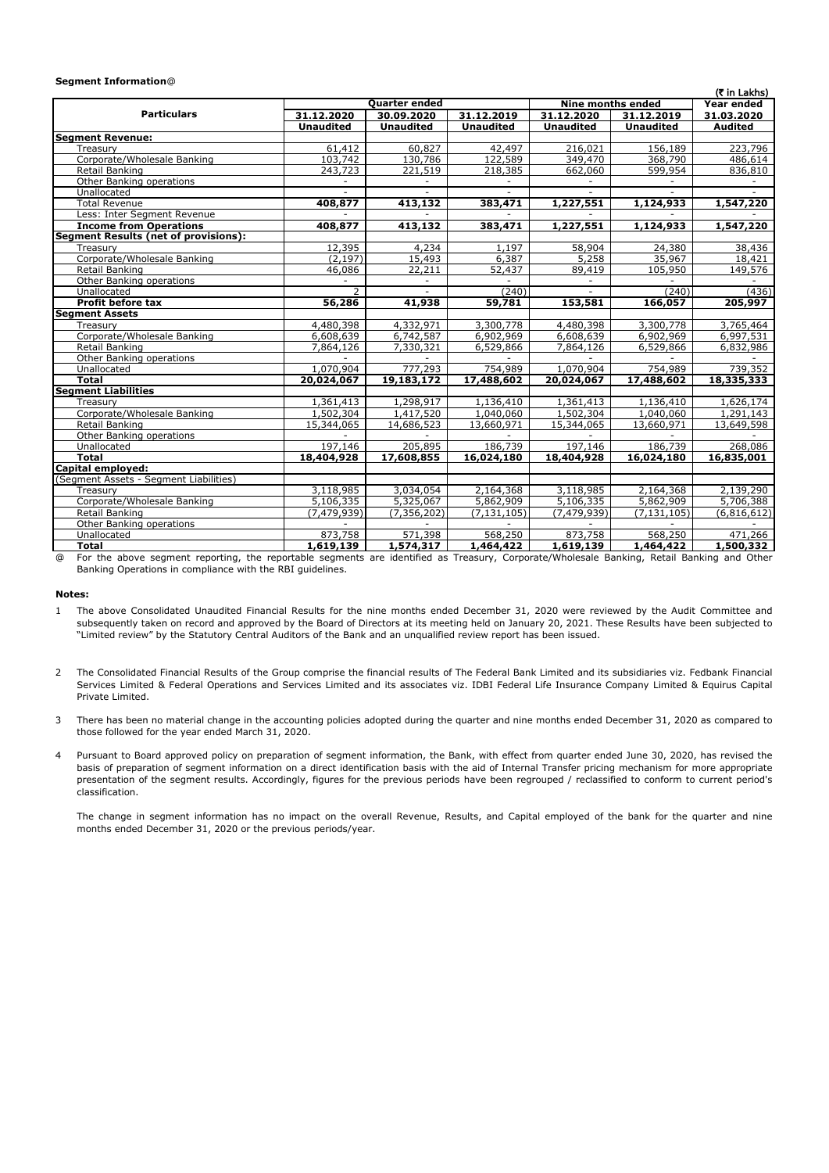## **Segment Information**@

| (₹ in Lakhs)                                                                                                                                 |                          |                      |                          |                          |                          |                |  |
|----------------------------------------------------------------------------------------------------------------------------------------------|--------------------------|----------------------|--------------------------|--------------------------|--------------------------|----------------|--|
|                                                                                                                                              |                          | <b>Quarter ended</b> |                          | Nine months ended        | Year ended               |                |  |
| <b>Particulars</b>                                                                                                                           | 31.12.2020               | 30.09.2020           | 31.12.2019               | 31.12.2020               | 31.12.2019               | 31.03.2020     |  |
|                                                                                                                                              | <b>Unaudited</b>         | <b>Unaudited</b>     | <b>Unaudited</b>         | <b>Unaudited</b>         | <b>Unaudited</b>         | <b>Audited</b> |  |
| <b>Segment Revenue:</b>                                                                                                                      |                          |                      |                          |                          |                          |                |  |
| Treasurv                                                                                                                                     | 61,412                   | 60,827               | 42,497                   | 216,021                  | 156,189                  | 223,796        |  |
| Corporate/Wholesale Banking                                                                                                                  | 103,742                  | 130,786              | 122,589                  | 349,470                  | 368,790                  | 486,614        |  |
| Retail Banking                                                                                                                               | 243,723                  | 221,519              | 218,385                  | 662,060                  | 599,954                  | 836,810        |  |
| Other Banking operations                                                                                                                     | $\overline{\phantom{a}}$ |                      | $\overline{\phantom{a}}$ |                          | $\overline{\phantom{0}}$ |                |  |
| Unallocated                                                                                                                                  |                          |                      |                          |                          |                          |                |  |
| <b>Total Revenue</b>                                                                                                                         | 408,877                  | 413,132              | 383,471                  | 1,227,551                | 1,124,933                | 1,547,220      |  |
| Less: Inter Segment Revenue                                                                                                                  |                          |                      |                          |                          |                          |                |  |
| <b>Income from Operations</b>                                                                                                                | 408,877                  | 413,132              | 383,471                  | 1,227,551                | 1,124,933                | 1,547,220      |  |
| <b>Segment Results (net of provisions):</b>                                                                                                  |                          |                      |                          |                          |                          |                |  |
| Treasurv                                                                                                                                     | 12,395                   | 4,234                | 1,197                    | 58,904                   | 24,380                   | 38,436         |  |
| Corporate/Wholesale Banking                                                                                                                  | (2, 197)                 | 15,493               | 6,387                    | 5,258                    | 35,967                   | 18,421         |  |
| Retail Banking                                                                                                                               | 46,086                   | 22,211               | 52,437                   | 89,419                   | 105,950                  | 149,576        |  |
| Other Banking operations                                                                                                                     |                          | $\sim$               |                          | $\overline{\phantom{a}}$ |                          |                |  |
| Unallocated                                                                                                                                  | 2                        |                      | (240)                    |                          | (240)                    | (436)          |  |
| Profit before tax                                                                                                                            | 56,286                   | 41,938               | 59,781                   | 153,581                  | 166,057                  | 205,997        |  |
| <b>Segment Assets</b>                                                                                                                        |                          |                      |                          |                          |                          |                |  |
| Treasury                                                                                                                                     | 4,480,398                | 4,332,971            | 3,300,778                | 4,480,398                | 3,300,778                | 3,765,464      |  |
| Corporate/Wholesale Banking                                                                                                                  | 6,608,639                | 6,742,587            | 6,902,969                | 6,608,639                | 6,902,969                | 6,997,531      |  |
| Retail Banking                                                                                                                               | 7,864,126                | 7,330,321            | 6,529,866                | 7,864,126                | 6,529,866                | 6,832,986      |  |
| Other Banking operations                                                                                                                     |                          |                      |                          |                          |                          |                |  |
| Unallocated                                                                                                                                  | 1,070,904                | 777,293              | 754,989                  | 1,070,904                | 754,989                  | 739,352        |  |
| Total                                                                                                                                        | 20,024,067               | 19,183,172           | 17,488,602               | 20,024,067               | 17,488,602               | 18,335,333     |  |
| <b>Segment Liabilities</b>                                                                                                                   |                          |                      |                          |                          |                          |                |  |
| Treasury                                                                                                                                     | 1,361,413                | 1,298,917            | 1,136,410                | 1,361,413                | 1,136,410                | 1,626,174      |  |
| Corporate/Wholesale Banking                                                                                                                  | 1,502,304                | 1,417,520            | 1,040,060                | 1,502,304                | 1,040,060                | 1,291,143      |  |
| Retail Banking                                                                                                                               | 15,344,065               | 14,686,523           | 13,660,971               | 15,344,065               | 13,660,971               | 13,649,598     |  |
| Other Banking operations                                                                                                                     |                          |                      |                          |                          |                          |                |  |
| Unallocated                                                                                                                                  | 197,146                  | 205,895              | 186,739                  | 197,146                  | 186,739                  | 268,086        |  |
| <b>Total</b>                                                                                                                                 | 18,404,928               | 17,608,855           | 16,024,180               | 18,404,928               | 16,024,180               | 16,835,001     |  |
| Capital employed:                                                                                                                            |                          |                      |                          |                          |                          |                |  |
| (Segment Assets - Segment Liabilities)                                                                                                       |                          |                      |                          |                          |                          |                |  |
| Treasury                                                                                                                                     | 3,118,985                | 3,034,054            | 2,164,368                | 3,118,985                | 2,164,368                | 2,139,290      |  |
| Corporate/Wholesale Banking                                                                                                                  | 5,106,335                | 5,325,067            | 5,862,909                | $\overline{5,106,335}$   | 5,862,909                | 5,706,388      |  |
| Retail Banking                                                                                                                               | (7, 479, 939)            | (7, 356, 202)        | (7, 131, 105)            | (7, 479, 939)            | (7, 131, 105)            | (6,816,612)    |  |
| Other Banking operations                                                                                                                     |                          |                      |                          |                          |                          |                |  |
| Unallocated                                                                                                                                  | 873,758                  | 571,398              | 568,250                  | 873,758                  | 568,250                  | 471,266        |  |
| <b>Total</b>                                                                                                                                 | 1,619,139                | 1,574,317            | 1,464,422                | 1,619,139                | 1,464,422                | 1,500,332      |  |
| For the above segment reporting the reportable segments are identified as Treasury Corporate/Wholesale Banking Retail Banking and Other<br>൹ |                          |                      |                          |                          |                          |                |  |

@ For the above segment reporting, the reportable segments are identified as Treasury, Corporate/Wholesale Banking, Retail Banking and Other Banking Operations in compliance with the RBI guidelines.

## **Notes:**

- 1 The above Consolidated Unaudited Financial Results for the nine months ended December 31, 2020 were reviewed by the Audit Committee and subsequently taken on record and approved by the Board of Directors at its meeting held on January 20, 2021. These Results have been subjected to "Limited review" by the Statutory Central Auditors of the Bank and an unqualified review report has been issued.
- 2 The Consolidated Financial Results of the Group comprise the financial results of The Federal Bank Limited and its subsidiaries viz. Fedbank Financial Services Limited & Federal Operations and Services Limited and its associates viz. IDBI Federal Life Insurance Company Limited & Equirus Capital Private Limited.
- 3 There has been no material change in the accounting policies adopted during the quarter and nine months ended December 31, 2020 as compared to those followed for the year ended March 31, 2020.
- 4 Pursuant to Board approved policy on preparation of segment information, the Bank, with effect from quarter ended June 30, 2020, has revised the basis of preparation of segment information on a direct identification basis with the aid of Internal Transfer pricing mechanism for more appropriate presentation of the segment results. Accordingly, figures for the previous periods have been regrouped / reclassified to conform to current period's classification.

The change in segment information has no impact on the overall Revenue, Results, and Capital employed of the bank for the quarter and nine months ended December 31, 2020 or the previous periods/year.